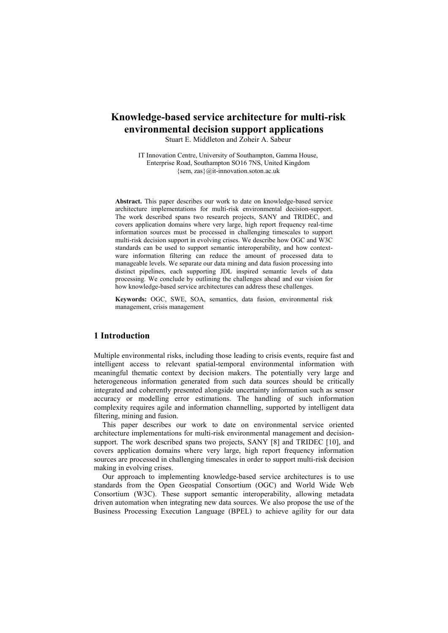# **Knowledge-based service architecture for multi-risk environmental decision support applications**

Stuart E. Middleton and Zoheir A. Sabeur

IT Innovation Centre, University of Southampton, Gamma House, Enterprise Road, Southampton SO16 7NS, United Kingdom {sem, zas}@it-innovation.soton.ac.uk

**Abstract.** This paper describes our work to date on knowledge-based service architecture implementations for multi-risk environmental decision-support. The work described spans two research projects, SANY and TRIDEC, and covers application domains where very large, high report frequency real-time information sources must be processed in challenging timescales to support multi-risk decision support in evolving crises. We describe how OGC and W3C standards can be used to support semantic interoperability, and how contextware information filtering can reduce the amount of processed data to manageable levels. We separate our data mining and data fusion processing into distinct pipelines, each supporting JDL inspired semantic levels of data processing. We conclude by outlining the challenges ahead and our vision for how knowledge-based service architectures can address these challenges.

**Keywords:** OGC, SWE, SOA, semantics, data fusion, environmental risk management, crisis management

## **1 Introduction**

Multiple environmental risks, including those leading to crisis events, require fast and intelligent access to relevant spatial-temporal environmental information with meaningful thematic context by decision makers. The potentially very large and heterogeneous information generated from such data sources should be critically integrated and coherently presented alongside uncertainty information such as sensor accuracy or modelling error estimations. The handling of such information complexity requires agile and information channelling, supported by intelligent data filtering, mining and fusion.

This paper describes our work to date on environmental service oriented architecture implementations for multi-risk environmental management and decision-support. The work described spans two projects, SANY [\[8\]](#page-7-0) and TRIDEC [\[10\]](#page-7-1), and covers application domains where very large, high report frequency information sources are processed in challenging timescales in order to support multi-risk decision making in evolving crises.

Our approach to implementing knowledge-based service architectures is to use standards from the Open Geospatial Consortium (OGC) and World Wide Web Consortium (W3C). These support semantic interoperability, allowing metadata driven automation when integrating new data sources. We also propose the use of the Business Processing Execution Language (BPEL) to achieve agility for our data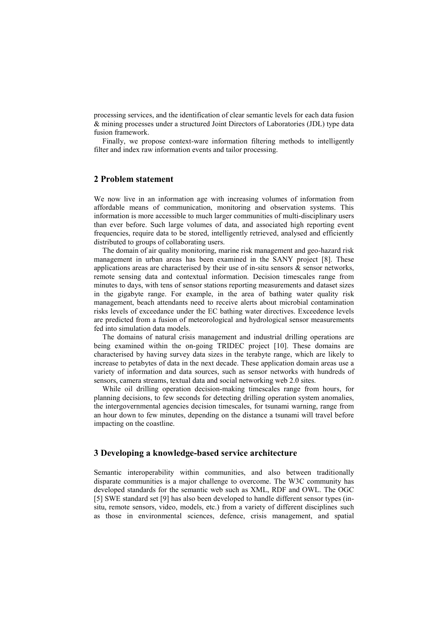processing services, and the identification of clear semantic levels for each data fusion & mining processes under a structured Joint Directors of Laboratories (JDL) type data fusion framework.

Finally, we propose context-ware information filtering methods to intelligently filter and index raw information events and tailor processing.

#### **2 Problem statement**

We now live in an information age with increasing volumes of information from affordable means of communication, monitoring and observation systems. This information is more accessible to much larger communities of multi-disciplinary users than ever before. Such large volumes of data, and associated high reporting event frequencies, require data to be stored, intelligently retrieved, analysed and efficiently distributed to groups of collaborating users.

The domain of air quality monitoring, marine risk management and geo-hazard risk management in urban areas has been examined in the SANY project [\[8\]](#page-7-0). These applications areas are characterised by their use of in-situ sensors  $\&$  sensor networks, remote sensing data and contextual information. Decision timescales range from minutes to days, with tens of sensor stations reporting measurements and dataset sizes in the gigabyte range. For example, in the area of bathing water quality risk management, beach attendants need to receive alerts about microbial contamination risks levels of exceedance under the EC bathing water directives. Exceedence levels are predicted from a fusion of meteorological and hydrological sensor measurements fed into simulation data models.

The domains of natural crisis management and industrial drilling operations are being examined within the on-going TRIDEC project [\[10\]](#page-7-1). These domains are characterised by having survey data sizes in the terabyte range, which are likely to increase to petabytes of data in the next decade. These application domain areas use a variety of information and data sources, such as sensor networks with hundreds of sensors, camera streams, textual data and social networking web 2.0 sites.

While oil drilling operation decision-making timescales range from hours, for planning decisions, to few seconds for detecting drilling operation system anomalies, the intergovernmental agencies decision timescales, for tsunami warning, range from an hour down to few minutes, depending on the distance a tsunami will travel before impacting on the coastline.

#### **3 Developing a knowledge-based service architecture**

Semantic interoperability within communities, and also between traditionally disparate communities is a major challenge to overcome. The W3C community has developed standards for the semantic web such as XML, RDF and OWL. The OGC [\[5\]](#page-7-2) SWE standard set [\[9\]](#page-7-3) has also been developed to handle different sensor types (insitu, remote sensors, video, models, etc.) from a variety of different disciplines such as those in environmental sciences, defence, crisis management, and spatial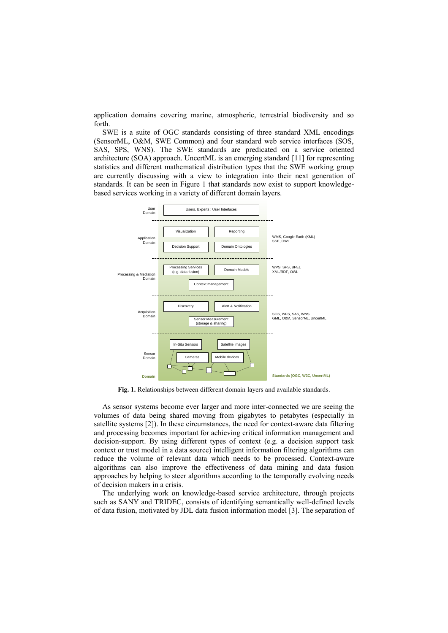application domains covering marine, atmospheric, terrestrial biodiversity and so forth.

SWE is a suite of OGC standards consisting of three standard XML encodings (SensorML, O&M, SWE Common) and four standard web service interfaces (SOS, SAS, SPS, WNS). The SWE standards are predicated on a service oriented architecture (SOA) approach. UncertML is an emerging standard [\[11\]](#page-7-4) for representing statistics and different mathematical distribution types that the SWE working group are currently discussing with a view to integration into their next generation of standards. It can be seen in Figure 1 that standards now exist to support knowledgebased services working in a variety of different domain layers.



**Fig. 1.** Relationships between different domain layers and available standards.

As sensor systems become ever larger and more inter-connected we are seeing the volumes of data being shared moving from gigabytes to petabytes (especially in satellite systems [\[2\]](#page-7-5)). In these circumstances, the need for context-aware data filtering and processing becomes important for achieving critical information management and decision-support. By using different types of context (e.g. a decision support task context or trust model in a data source) intelligent information filtering algorithms can reduce the volume of relevant data which needs to be processed. Context-aware algorithms can also improve the effectiveness of data mining and data fusion approaches by helping to steer algorithms according to the temporally evolving needs of decision makers in a crisis.

The underlying work on knowledge-based service architecture, through projects such as SANY and TRIDEC, consists of identifying semantically well-defined levels of data fusion, motivated by JDL data fusion information model [\[3\]](#page-7-6). The separation of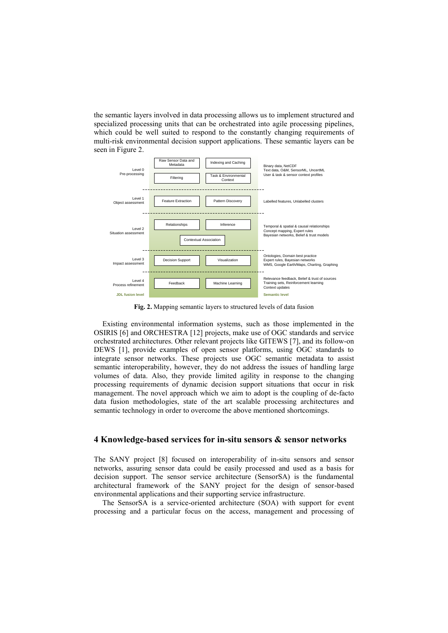the semantic layers involved in data processing allows us to implement structured and specialized processing units that can be orchestrated into agile processing pipelines, which could be well suited to respond to the constantly changing requirements of multi-risk environmental decision support applications. These semantic layers can be seen in Figure 2.



**Fig. 2.** Mapping semantic layers to structured levels of data fusion

Existing environmental information systems, such as those implemented in the OSIRIS [\[6\]](#page-7-7) and ORCHESTRA [\[12\]](#page-7-8) projects, make use of OGC standards and service orchestrated architectures. Other relevant projects like GITEWS [\[7\]](#page-7-9), and its follow-on DEWS [\[1\]](#page-7-10), provide examples of open sensor platforms, using OGC standards to integrate sensor networks. These projects use OGC semantic metadata to assist semantic interoperability, however, they do not address the issues of handling large volumes of data. Also, they provide limited agility in response to the changing processing requirements of dynamic decision support situations that occur in risk management. The novel approach which we aim to adopt is the coupling of de-facto data fusion methodologies, state of the art scalable processing architectures and semantic technology in order to overcome the above mentioned shortcomings.

## **4 Knowledge-based services for in-situ sensors & sensor networks**

The SANY project [\[8\]](#page-7-0) focused on interoperability of in-situ sensors and sensor networks, assuring sensor data could be easily processed and used as a basis for decision support. The sensor service architecture (SensorSA) is the fundamental architectural framework of the SANY project for the design of sensor-based environmental applications and their supporting service infrastructure.

The SensorSA is a service-oriented architecture (SOA) with support for event processing and a particular focus on the access, management and processing of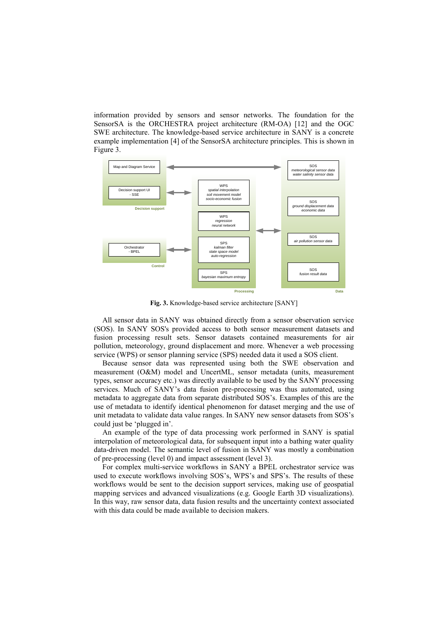information provided by sensors and sensor networks. The foundation for the SensorSA is the ORCHESTRA project architecture (RM-OA) [\[12\]](#page-7-8) and the OGC SWE architecture. The knowledge-based service architecture in SANY is a concrete example implementation [\[4\]](#page-7-11) of the SensorSA architecture principles. This is shown in Figure 3.



**Fig. 3.** Knowledge-based service architecture [SANY]

All sensor data in SANY was obtained directly from a sensor observation service (SOS). In SANY SOS's provided access to both sensor measurement datasets and fusion processing result sets. Sensor datasets contained measurements for air pollution, meteorology, ground displacement and more. Whenever a web processing service (WPS) or sensor planning service (SPS) needed data it used a SOS client.

Because sensor data was represented using both the SWE observation and measurement (O&M) model and UncertML, sensor metadata (units, measurement types, sensor accuracy etc.) was directly available to be used by the SANY processing services. Much of SANY's data fusion pre-processing was thus automated, using metadata to aggregate data from separate distributed SOS's. Examples of this are the use of metadata to identify identical phenomenon for dataset merging and the use of unit metadata to validate data value ranges. In SANY new sensor datasets from SOS's could just be 'plugged in'.

An example of the type of data processing work performed in SANY is spatial interpolation of meteorological data, for subsequent input into a bathing water quality data-driven model. The semantic level of fusion in SANY was mostly a combination of pre-processing (level 0) and impact assessment (level 3).

For complex multi-service workflows in SANY a BPEL orchestrator service was used to execute workflows involving SOS's, WPS's and SPS's. The results of these workflows would be sent to the decision support services, making use of geospatial mapping services and advanced visualizations (e.g. Google Earth 3D visualizations). In this way, raw sensor data, data fusion results and the uncertainty context associated with this data could be made available to decision makers.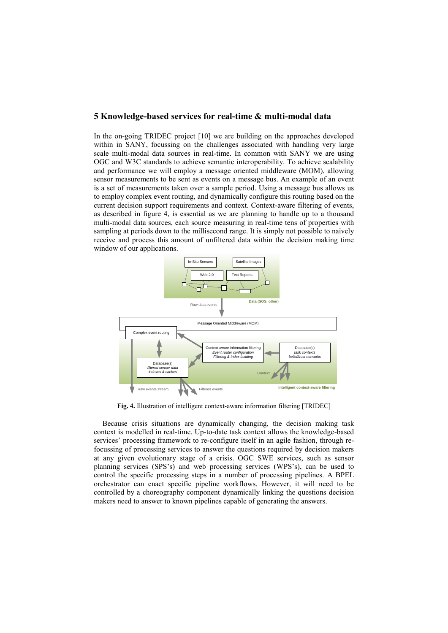#### **5 Knowledge-based services for real-time & multi-modal data**

In the on-going TRIDEC project [\[10\]](#page-7-1) we are building on the approaches developed within in SANY, focussing on the challenges associated with handling very large scale multi-modal data sources in real-time. In common with SANY we are using OGC and W3C standards to achieve semantic interoperability. To achieve scalability and performance we will employ a message oriented middleware (MOM), allowing sensor measurements to be sent as events on a message bus. An example of an event is a set of measurements taken over a sample period. Using a message bus allows us to employ complex event routing, and dynamically configure this routing based on the current decision support requirements and context. Context-aware filtering of events, as described in figure 4, is essential as we are planning to handle up to a thousand multi-modal data sources, each source measuring in real-time tens of properties with sampling at periods down to the millisecond range. It is simply not possible to naively receive and process this amount of unfiltered data within the decision making time window of our applications.



**Fig. 4.** Illustration of intelligent context-aware information filtering [TRIDEC]

Because crisis situations are dynamically changing, the decision making task context is modelled in real-time. Up-to-date task context allows the knowledge-based services' processing framework to re-configure itself in an agile fashion, through refocussing of processing services to answer the questions required by decision makers at any given evolutionary stage of a crisis. OGC SWE services, such as sensor planning services (SPS's) and web processing services (WPS's), can be used to control the specific processing steps in a number of processing pipelines. A BPEL orchestrator can enact specific pipeline workflows. However, it will need to be controlled by a choreography component dynamically linking the questions decision makers need to answer to known pipelines capable of generating the answers.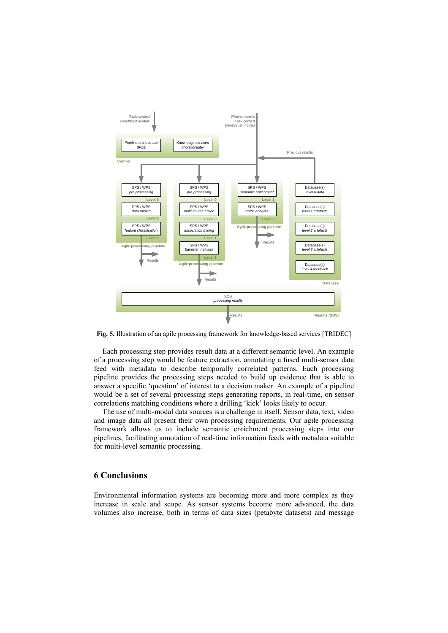

**Fig. 5.** Illustration of an agile processing framework for knowledge-based services [TRIDEC]

Each processing step provides result data at a different semantic level. An example of a processing step would be feature extraction, annotating a fused multi-sensor data feed with metadata to describe temporally correlated patterns. Each processing pipeline provides the processing steps needed to build up evidence that is able to answer a specific 'question' of interest to a decision maker. An example of a pipeline would be a set of several processing steps generating reports, in real-time, on sensor correlations matching conditions where a drilling 'kick' looks likely to occur.

The use of multi-modal data sources is a challenge in itself. Sensor data, text, video and image data all present their own processing requirements. Our agile processing framework allows us to include semantic enrichment processing steps into our pipelines, facilitating annotation of real-time information feeds with metadata suitable for multi-level semantic processing.

## **6 Conclusions**

Environmental information systems are becoming more and more complex as they increase in scale and scope. As sensor systems become more advanced, the data volumes also increase, both in terms of data sizes (petabyte datasets) and message